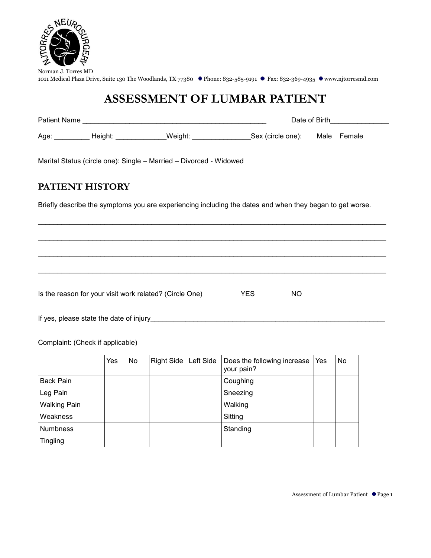

# **ASSESSMENT OF LUMBAR PATIENT**

| Patient Name |         |         | Date of Birth     |  |             |  |  |
|--------------|---------|---------|-------------------|--|-------------|--|--|
| Age:         | Height: | Weiaht: | Sex (circle one): |  | Male Female |  |  |

Marital Status (circle one): Single – Married – Divorced - Widowed

### **PATIENT HISTORY**

Briefly describe the symptoms you are experiencing including the dates and when they began to get worse.

 $\mathcal{L}_\text{max} = \mathcal{L}_\text{max} = \mathcal{L}_\text{max} = \mathcal{L}_\text{max} = \mathcal{L}_\text{max} = \mathcal{L}_\text{max} = \mathcal{L}_\text{max} = \mathcal{L}_\text{max} = \mathcal{L}_\text{max} = \mathcal{L}_\text{max} = \mathcal{L}_\text{max} = \mathcal{L}_\text{max} = \mathcal{L}_\text{max} = \mathcal{L}_\text{max} = \mathcal{L}_\text{max} = \mathcal{L}_\text{max} = \mathcal{L}_\text{max} = \mathcal{L}_\text{max} = \mathcal{$ 

 $\mathcal{L}_\text{max} = \{ \mathcal{L}_\text{max} = \{ \mathcal{L}_\text{max} = \{ \mathcal{L}_\text{max} = \{ \mathcal{L}_\text{max} = \{ \mathcal{L}_\text{max} = \{ \mathcal{L}_\text{max} = \{ \mathcal{L}_\text{max} = \{ \mathcal{L}_\text{max} = \{ \mathcal{L}_\text{max} = \{ \mathcal{L}_\text{max} = \{ \mathcal{L}_\text{max} = \{ \mathcal{L}_\text{max} = \{ \mathcal{L}_\text{max} = \{ \mathcal{L}_\text{max} = \{ \mathcal{L}_\text{max$ 

 $\mathcal{L}_\text{max} = \{ \mathcal{L}_\text{max} = \{ \mathcal{L}_\text{max} = \{ \mathcal{L}_\text{max} = \{ \mathcal{L}_\text{max} = \{ \mathcal{L}_\text{max} = \{ \mathcal{L}_\text{max} = \{ \mathcal{L}_\text{max} = \{ \mathcal{L}_\text{max} = \{ \mathcal{L}_\text{max} = \{ \mathcal{L}_\text{max} = \{ \mathcal{L}_\text{max} = \{ \mathcal{L}_\text{max} = \{ \mathcal{L}_\text{max} = \{ \mathcal{L}_\text{max} = \{ \mathcal{L}_\text{max$ 

 $\mathcal{L}_\text{max} = \mathcal{L}_\text{max} = \mathcal{L}_\text{max} = \mathcal{L}_\text{max} = \mathcal{L}_\text{max} = \mathcal{L}_\text{max} = \mathcal{L}_\text{max} = \mathcal{L}_\text{max} = \mathcal{L}_\text{max} = \mathcal{L}_\text{max} = \mathcal{L}_\text{max} = \mathcal{L}_\text{max} = \mathcal{L}_\text{max} = \mathcal{L}_\text{max} = \mathcal{L}_\text{max} = \mathcal{L}_\text{max} = \mathcal{L}_\text{max} = \mathcal{L}_\text{max} = \mathcal{$ 

Is the reason for your visit work related? (Circle One) YES NO

If yes, please state the date of injury\_\_\_\_\_\_\_\_\_\_\_\_\_\_\_\_\_\_\_\_\_\_\_\_\_\_\_\_\_\_\_\_\_\_\_\_\_\_\_\_\_\_\_\_\_\_\_\_\_\_\_\_\_\_\_\_\_\_\_\_

Complaint: (Check if applicable)

|                     | Yes | No | Right Side   Left Side | Does the following increase<br>your pain? | Yes | No |
|---------------------|-----|----|------------------------|-------------------------------------------|-----|----|
| <b>Back Pain</b>    |     |    |                        | Coughing                                  |     |    |
| Leg Pain            |     |    |                        | Sneezing                                  |     |    |
| <b>Walking Pain</b> |     |    |                        | Walking                                   |     |    |
| Weakness            |     |    |                        | Sitting                                   |     |    |
| <b>Numbness</b>     |     |    |                        | Standing                                  |     |    |
| <b>Tingling</b>     |     |    |                        |                                           |     |    |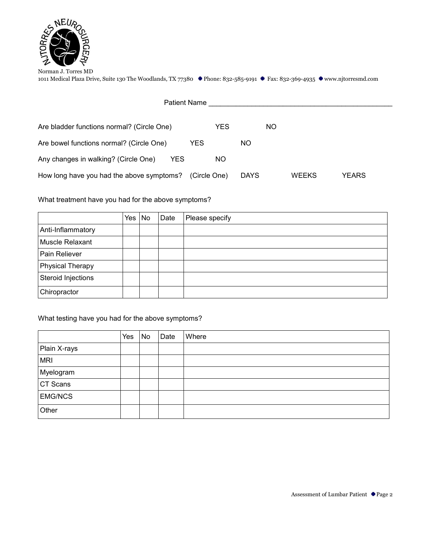

| <b>Patient Name</b>                          |              |             |     |       |       |  |
|----------------------------------------------|--------------|-------------|-----|-------|-------|--|
| Are bladder functions normal? (Circle One)   | YES          |             | NO. |       |       |  |
| Are bowel functions normal? (Circle One)     | YES          | NO.         |     |       |       |  |
| Any changes in walking? (Circle One)<br>YES. | ΝO           |             |     |       |       |  |
| How long have you had the above symptoms?    | (Circle One) | <b>DAYS</b> |     | WEEKS | YEARS |  |

What treatment have you had for the above symptoms?

|                    | Yes | No | Date | Please specify |
|--------------------|-----|----|------|----------------|
| Anti-Inflammatory  |     |    |      |                |
| Muscle Relaxant    |     |    |      |                |
| Pain Reliever      |     |    |      |                |
| Physical Therapy   |     |    |      |                |
| Steroid Injections |     |    |      |                |
| Chiropractor       |     |    |      |                |

### What testing have you had for the above symptoms?

|                | Yes | No | Date | Where |
|----------------|-----|----|------|-------|
| Plain X-rays   |     |    |      |       |
| <b>MRI</b>     |     |    |      |       |
| Myelogram      |     |    |      |       |
| CT Scans       |     |    |      |       |
| <b>EMG/NCS</b> |     |    |      |       |
| Other          |     |    |      |       |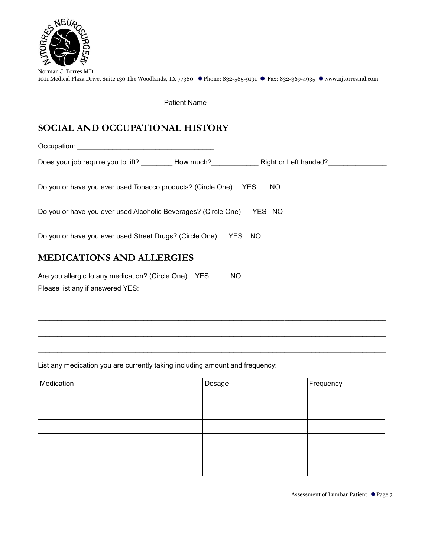

| Norman J. Torres MD                                                                                                        |  |  |
|----------------------------------------------------------------------------------------------------------------------------|--|--|
| 1011 Medical Plaza Drive, Suite 130 The Woodlands, TX 77380 • Phone: 832-585-9191 • Fax: 832-369-4935 • www.njtorresmd.com |  |  |

Patient Name \_\_\_\_\_\_\_\_\_\_\_\_\_\_\_\_\_\_\_\_\_\_\_\_\_\_\_\_\_\_\_\_\_\_\_\_\_\_\_\_\_\_\_\_\_\_\_

# **SOCIAL AND OCCUPATIONAL HISTORY**

Occupation: \_\_\_\_\_\_\_\_\_\_\_\_\_\_\_\_\_\_\_\_\_\_\_\_\_\_\_\_\_\_\_\_\_\_\_ Does your job require you to lift? \_\_\_\_\_\_\_\_\_ How much?\_\_\_\_\_\_\_\_\_\_\_\_\_\_\_\_ Right or Left handed?\_\_\_\_\_\_\_\_\_\_\_\_\_\_\_\_\_ Do you or have you ever used Tobacco products? (Circle One) YES NO Do you or have you ever used Alcoholic Beverages? (Circle One) YES NO Do you or have you ever used Street Drugs? (Circle One) YES NO **MEDICATIONS AND ALLERGIES** Are you allergic to any medication? (Circle One) YES NO Please list any if answered YES:

 $\mathcal{L}_\text{max} = \{ \mathcal{L}_\text{max} = \{ \mathcal{L}_\text{max} = \{ \mathcal{L}_\text{max} = \{ \mathcal{L}_\text{max} = \{ \mathcal{L}_\text{max} = \{ \mathcal{L}_\text{max} = \{ \mathcal{L}_\text{max} = \{ \mathcal{L}_\text{max} = \{ \mathcal{L}_\text{max} = \{ \mathcal{L}_\text{max} = \{ \mathcal{L}_\text{max} = \{ \mathcal{L}_\text{max} = \{ \mathcal{L}_\text{max} = \{ \mathcal{L}_\text{max} = \{ \mathcal{L}_\text{max$ 

 $\mathcal{L}_\text{max} = \{ \mathcal{L}_\text{max} = \{ \mathcal{L}_\text{max} = \{ \mathcal{L}_\text{max} = \{ \mathcal{L}_\text{max} = \{ \mathcal{L}_\text{max} = \{ \mathcal{L}_\text{max} = \{ \mathcal{L}_\text{max} = \{ \mathcal{L}_\text{max} = \{ \mathcal{L}_\text{max} = \{ \mathcal{L}_\text{max} = \{ \mathcal{L}_\text{max} = \{ \mathcal{L}_\text{max} = \{ \mathcal{L}_\text{max} = \{ \mathcal{L}_\text{max} = \{ \mathcal{L}_\text{max$ 

 $\mathcal{L}_\text{max} = \mathcal{L}_\text{max} = \mathcal{L}_\text{max} = \mathcal{L}_\text{max} = \mathcal{L}_\text{max} = \mathcal{L}_\text{max} = \mathcal{L}_\text{max} = \mathcal{L}_\text{max} = \mathcal{L}_\text{max} = \mathcal{L}_\text{max} = \mathcal{L}_\text{max} = \mathcal{L}_\text{max} = \mathcal{L}_\text{max} = \mathcal{L}_\text{max} = \mathcal{L}_\text{max} = \mathcal{L}_\text{max} = \mathcal{L}_\text{max} = \mathcal{L}_\text{max} = \mathcal{$ 

 $\mathcal{L}_\text{max} = \{ \mathcal{L}_\text{max} = \{ \mathcal{L}_\text{max} = \{ \mathcal{L}_\text{max} = \{ \mathcal{L}_\text{max} = \{ \mathcal{L}_\text{max} = \{ \mathcal{L}_\text{max} = \{ \mathcal{L}_\text{max} = \{ \mathcal{L}_\text{max} = \{ \mathcal{L}_\text{max} = \{ \mathcal{L}_\text{max} = \{ \mathcal{L}_\text{max} = \{ \mathcal{L}_\text{max} = \{ \mathcal{L}_\text{max} = \{ \mathcal{L}_\text{max} = \{ \mathcal{L}_\text{max$ 

List any medication you are currently taking including amount and frequency:

| Medication | Dosage | Frequency |
|------------|--------|-----------|
|            |        |           |
|            |        |           |
|            |        |           |
|            |        |           |
|            |        |           |
|            |        |           |

Assessment of Lumbar Patient Page 3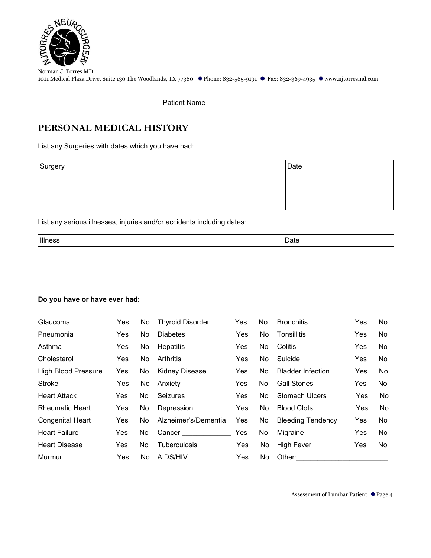

Patient Name \_\_\_\_\_\_\_\_\_\_\_\_\_\_\_\_\_\_\_\_\_\_\_\_\_\_\_\_\_\_\_\_\_\_\_\_\_\_\_\_\_\_\_\_\_\_\_

# **PERSONAL MEDICAL HISTORY**

List any Surgeries with dates which you have had:

| Surgery | Date |
|---------|------|
|         |      |
|         |      |
|         |      |

List any serious illnesses, injuries and/or accidents including dates:

| Illness | $\vert$ Date |
|---------|--------------|
|         |              |
|         |              |
|         |              |

#### **Do you have or have ever had:**

| Glaucoma                   | Yes        | No. | <b>Thyroid Disorder</b> | Yes        | No. | <b>Bronchitis</b>        | Yes        | No. |
|----------------------------|------------|-----|-------------------------|------------|-----|--------------------------|------------|-----|
| Pneumonia                  | Yes.       | No. | <b>Diabetes</b>         | Yes        | No. | Tonsillitis              | <b>Yes</b> | No. |
| Asthma                     | Yes        | No  | <b>Hepatitis</b>        | <b>Yes</b> | No  | Colitis                  | <b>Yes</b> | No  |
| Cholesterol                | Yes.       | No. | Arthritis               | Yes.       | No. | Suicide                  | Yes        | No. |
| <b>High Blood Pressure</b> | <b>Yes</b> | No  | <b>Kidney Disease</b>   | Yes        | No. | <b>Bladder Infection</b> | Yes        | No  |
| Stroke                     | Yes        | No. | Anxiety                 | Yes.       | No. | <b>Gall Stones</b>       | <b>Yes</b> | No  |
| <b>Heart Attack</b>        | Yes        | No. | <b>Seizures</b>         | <b>Yes</b> | No. | <b>Stomach Ulcers</b>    | Yes        | No  |
| <b>Rheumatic Heart</b>     | <b>Yes</b> | No. | Depression              | Yes        | No. | <b>Blood Clots</b>       | Yes        | No  |
| <b>Congenital Heart</b>    | Yes        | No. | Alzheimer's/Dementia    | <b>Yes</b> | No  | <b>Bleeding Tendency</b> | Yes        | No. |
| <b>Heart Failure</b>       | Yes        | No. |                         | <b>Yes</b> | No  | Migraine                 | Yes        | No. |
| <b>Heart Disease</b>       | Yes        | No. | <b>Tuberculosis</b>     | <b>Yes</b> | No. | High Fever               | <b>Yes</b> | No. |
| Murmur                     | Yes        | No. | AIDS/HIV                | Yes        | No. | Other:                   |            |     |